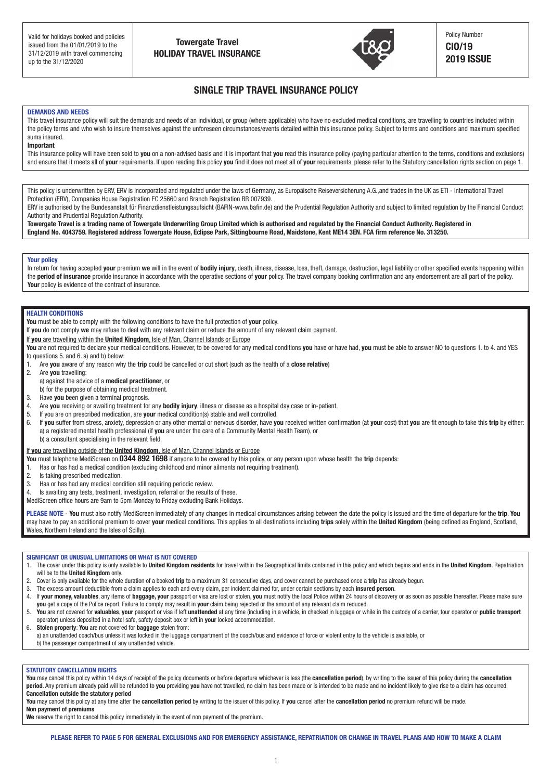**Summary of cover and excesses per insured person** (please see overleaf for full details of cover, limitations and excesses for each **insured person**)



**Excess**

£50 for abandonment

# SINGLE TRIP TRAVEL INSURANCE POLICY

## **DEMANDS AND NEEDS**

This travel insurance policy will suit the demands and needs of an individual, or group (where applicable) who have no excluded medical conditions, are travelling to countries included within the policy terms and who wish to insure themselves against the unforeseen circumstances/events detailed within this insurance policy. Subject to terms and conditions and maximum specified sums insured. This policy is underwritten by ERV, ERV, ERV, ERV, ERV, ERV is included and regulated under the laws of Germany, as EUROPäische Reiseversicherung A.G.,and trades in the UK as ETI - International Travel Protectional Travel

### **Important**

31/12/18

This insurance policy will have been sold to you on a non-advised basis and it is important that you read this insurance policy (paying particular attention to the terms, conditions and exclusions) and ensure that it meets all of your requirements. If upon reading this policy you find it does not meet all of your requirements, please refer to the Statutory cancellation rights section on page 1. Authority and Prudential Regulation Authority.

This policy is underwritten by ERV, ERV is incorporated and regulated under the laws of Germany, as Europäische Reiseversicherung A.G., and trades in the UK as ETI - International Travel Protection (ERV), Companies House Registration FC 25660 and Branch Registration BR 007939.<br>FDU is sufficiently the Bundescape in this Circumstical interactional CAFU seems before

ERV is authorised by the Bundesanstalt für Finanzdienstleistungsaufsicht (BAFIN-www.bafin.de) and the Prudential Regulation Authority and subject to limited regulation by the Financial Conduct Authority and Prudential Regulation Authority.

Towergate Travel is a trading name of Towergate Underwriting Group Limited which is authorised and regulated by the Financial Conduct Authority. Registered in is evidence in and is a dailing name of fowergate chucumany droup childred which is additioused and regulated by the Financial contract Addition, Registered address Towergate House, Eclipse Park, Sittingbourne Road, Maidst

## **Your policy**

In return for having accepted your premium we will in the event of bodily injury, death, illness, disease, loss, theft, damage, destruction, legal liability or other specified events happening within the **period of insurance** provide insurance in accordance with the operative sections of **your** policy. The travel company booking confirmation and any endorsement are all part of the policy. **Your** policy is evidence of the contract of insurance. Isle of Man, Republic of Ireland

#### **HEALTH CONDITIONS** 1) Delayed departure up to £60 (£10 after 3 hours and £10 per 3 hours delay thereafter) in England, Scotland and Wales, or

**You** must be able to comply with the following conditions to have the full protection of **your** policy.

If you do not comply we may refuse to deal with any relevant claim or reduce the amount of any relevant claim payment.<br>If you do not comply we may refuse to deal with any relevant claim or reduce the amount of any relevant

If you are travelling within the United Kingdom, Isle of Man, Channel Islands or Europe

You are not required to declare your medical conditions. However, to be covered for any medical conditions you have or have had, you must be able to answer NO to questions 1. to 4. and YES to questions  $5.$  and  $6.$  a) and  $b)$  below:

1. Are **you** aware of any reason why the **trip** could be cancelled or cut short (such as the health of a **close relative**) up to a 10,000 (subject to a 10,000 minutes) No excess to age (subject to age) No excess to age (subject to ag<br>Hiling: No excess to age (subject to age (subject to age (subject) No excess to age (subject to age (subject)

- 2. Are you travelling:
	- a) against the advice of a **medical practitioner**, or
- b) for the purpose of obtaining medical treatment.
	- 3. Have you been given a terminal prognosis.

**Limits**

- 4. Are you receiving or awaiting treatment for any bodily injury, illness or disease as a hospital day case or in-patient.
- 5. If you are on prescribed medication, are your medical condition(s) stable and well controlled.

6. If you suffer from stress, anxiety, depression or any other mental or nervous disorder, have you received written confirmation (at your cost) that you are fit enough to take this trip by either: a) a registered mental health professional (if you are under the care of a Community Mental Health Team), or b) a consultant specialising in the relevant field.

# Figure 3.10 per dentistive productions in the belocation of the United Kingdom, Isle of Man, Channel Islands or Europe

You must telephone MediScreen on 0344 892 1698 if anyone to be covered by this policy, or any person upon whose health the trip depends:

1. Has or has had a medical condition (excluding childhood and minor ailments not requiring treatment).

- 2. Is taking prescribed medication.<br>3. Has or has had any medical con
- $\overline{\phantom{a}}$  3. Has or has had any medical condition still requiring periodic review.
	- 4. Is awaiting any tests, treatment, investigation, referral or the results of these.  $\overline{4}$
- MediScreen office hours are 9am to 5pm Monday to Friday excluding Bank Holidays.

**PLEASE NOTE** - **You** must also notify MediScreen immediately of any changes in medical circumstances arising between the date the policy is issued and the time of departure for the **trip**. **You** may have to pay an additional premium to cover your medical conditions. This applies to all destinations including trips solely within the United Kingdom (being defined as England, Scotland, Wales, Northern Ireland and the Isles of Scilly).

# **SIGNIFICANT OR UNUSUAL LIMITATIONS OR WHAT IS NOT COVERED**

SUNIFICANT ON ONOSUAL LIMITATIONS ON WHAT IS NOT CUVENED<br>1. The cover under this policy is only available to **United Kingdom residents** for travel within the Geographical limits contained in this policy and which begins an will be to the **United Kingdom** only. If we cover under this policy is only available to **online impuoni residents** for travel within the deographical limits contained<br>will be to the **United Kinndom** only

- 2. Cover is only available for the whole duration of a booked trip to a maximum 31 consecutive days, and cover cannot be purchased once a trip has already begun.
- 3. The excess amount deductible from a claim applies to each and every claim, per incident claimed for, under certain sections by each insured person.
	- 4. If your money, valuables, any items of baggage, your passport or visa are lost or stolen, you must notify the local Police within 24 hours of discovery or as soon as possible thereafter. Please make sure you get a copy of the Police report. Failure to comply may result in your claim being rejected or the amount of any relevant claim reduced.
	- 5. You are not covered for valuables, your passport or visa if left unattended at any time (including in a vehicle, in checked in luggage or while in the custody of a carrier, tour operator or public transport operator) unless deposited in a hotel safe, safety deposit box or left in **your** locked accommodation.
		- 6. **Stolen property**: **You** are not covered for **baggage** stolen from:

a) an unattended coach/bus unless it was locked in the luggage compartment of the coach/bus and evidence of force or violent entry to the vehicle is available, or

b) the passenger compartment of any unattended vehicle.<br>5. If you suffer from stress, and disorder, it must be investigated and disorder, it must be investigated and disorder, it must be investigated as such by either: a) a registered mental health professional if **you** are under the care of a Community Mental Health Team, or

## **STATUTORY CANCELLATION RIGHTS**

You may cancel this policy within 14 days of receipt of the policy documents or before departure whichever is less (the cancellation period), by writing to the issuer of this policy during the cancellation period. Any premium already paid will be refunded to you providing you have not travelled, no claim has been made or is intended to be made and no incident likely to give rise to a claim has occurred. **Cancellation outside the statutory period** 

You may cancel this policy at any time after the cancellation period by writing to the issuer of this policy. If you cancel after the cancellation period no premium refund will be made.

**Non payment of premiums Weir payment of premiums**<br>We reserve the right to cancel this policy immediately in the event of non payment of the premium.

He results are right to cancel any policy immicatation in the event of non-payment or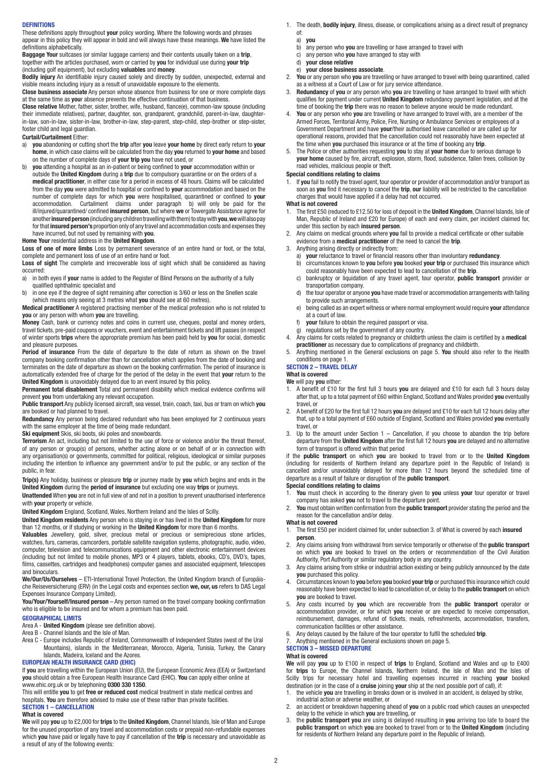#### **DEFINITIONS**

These definitions apply throughout **your** policy wording. Where the following words and phrases appear in this policy they will appear in bold and will always have these meanings. **We** have listed the definitions alphabetically.

**Baggage Your** suitcases (or similar luggage carriers) and their contents usually taken on a **trip**, together with the articles purchased, worn or carried by **you** for individual use during **your trip** (including golf equipment), but excluding **valuables** and **money**.

**Bodily injury** An identifiable injury caused solely and directly by sudden, unexpected, external and visible means including injury as a result of unavoidable exposure to the elements.

**Close business associate** Any person whose absence from business for one or more complete days at the same time as **you**r absence prevents the effective continuation of that business.

**Close relative** Mother, father, sister, brother, wife, husband, fiance(e), common-law spouse (including their immediate relatives), partner, daughter, son, grandparent, grandchild, parent-in-law, daughterin-law, son-in-law, sister-in-law, brother-in-law, step-parent, step-child, step-brother or step-sister, foster child and legal guardian.

#### **Curtail/Curtailment** Either:

- a) **you** abandoning or cutting short the **trip** after **you** leave **your home** by direct early return to **your home**, in which case claims will be calculated from the day **you** returned to **your home** and based on the number of complete days of **your trip you** have not used, or
- b) **you** attending a hospital as an in-patient or being confined to **your** accommodation within or outside the **United Kingdom** during a **trip** due to compulsory quarantine or on the orders of a **medical practitioner**, in either case for a period in excess of 48 hours. Claims will be calculated from the day **you** were admitted to hospital or confined to **your** accommodation and based on the number of complete days for which **you** were hospitalised, quarantined or confined to **your** accommodation. Curtailment claims under paragraph b) will only be paid for the ill/injured/quarantined/ confined **insured person**, but where **we** or Towergate Assistance agree for another **insured person** (including any children travelling with them) to stay with **you**, **we** will also pay for that **insured person's** proportion only of any travel and accommodation costs and expenses they have incurred, but not used by remaining with **you**.

#### **Home Your** residential address in the **United Kingdom**.

**Loss of one of more limbs** Loss by permanent severance of an entire hand or foot, or the total, complete and permanent loss of use of an entire hand or foot.

**Loss of sight** The complete and irrecoverable loss of sight which shall be considered as having occurred:

- a) in both eyes if **your** name is added to the Register of Blind Persons on the authority of a fully qualified ophthalmic specialist and
- b) in one eye if the degree of sight remaining after correction is 3/60 or less on the Snellen scale

(which means only seeing at 3 metres what **you** should see at 60 metres). **Medical practitioner** A registered practising member of the medical profession who is not related to **you** or any person with whom **you** are travelling.

**Money** Cash, bank or currency notes and coins in current use, cheques, postal and money orders, travel tickets, pre-paid coupons or vouchers, event and entertainment tickets and lift passes (in respect of winter sports **trips** where the appropriate premium has been paid) held by **you** for social, domestic and pleasure purposes.

**Period of insurance** From the date of departure to the date of return as shown on the travel company booking confirmation other than for cancellation which applies from the date of booking and terminates on the date of departure as shown on the booking confirmation. The period of insurance is automatically extended free of charge for the period of the delay in the event that **your** return to the **United Kingdom** is unavoidably delayed due to an event insured by this policy.

**Permanent total disablement** Total and permanent disability which medical evidence confirms will prevent **you** from undertaking any relevant occupation.

**Public transport** Any publicly licensed aircraft, sea vessel, train, coach, taxi, bus or tram on which **you** are booked or had planned to travel.

**Redundancy** Any person being declared redundant who has been employed for 2 continuous years with the same employer at the time of being made redundant.

**Ski equipment** Skis, ski boots, ski poles and snowboards.

**Terrorism** An act, including but not limited to the use of force or violence and/or the threat thereof, of any person or group(s) of persons, whether acting alone or on behalf of or in connection with any organisation(s) or governments, committed for political, religious, ideological or similar purposes including the intention to influence any government and/or to put the public, or any section of the public, in fear.

**Trip(s)** Any holiday, business or pleasure **trip** or journey made by **you** which begins and ends in the **United Kingdom** during the **period of insurance** but excluding one way **trips** or journeys.

**Unattended** When **you** are not in full view of and not in a position to prevent unauthorised interference with **your** property or vehicle.

**United Kingdom** England, Scotland, Wales, Northern Ireland and the Isles of Scilly.

**United Kingdom residents** Any person who is staying in or has lived in the **United Kingdom** for more than 12 months, or if studying or working in the **United Kingdom** for more than 6 months.

**Valuables** Jewellery, gold, silver, precious metal or precious or semiprecious stone articles, watches, furs, cameras, camcorders, portable satellite navigation systems, photographic, audio, video, computer, television and telecommunications equipment and other electronic entertainment devices (including but not limited to mobile phones, MP3 or 4 players, tablets, ebooks, CD's, DVD's, tapes, films, cassettes, cartridges and headphones) computer games and associated equipment, telescopes and binoculars.

**We/Our/Us/Ourselves** – ETI-International Travel Protection, the United Kingdom branch of Europäische Reiseversicherung (ERV) (in the Legal costs and expenses section **we, our, us** refers to DAS Legal Expenses Insurance Company Limited).

You/Your/Yourself/Insured person - Any person named on the travel company booking confirmation who is eligible to be insured and for whom a premium has been paid.

#### **GEOGRAPHICAL LIMITS**

Area A - **United Kingdom** (please see definition above).

Area B - Channel Islands and the Isle of Man.

Area C - Europe includes Republic of Ireland, Commonwealth of Independent States (west of the Ural Mountains), islands in the Mediterranean, Morocco, Algeria, Tunisia, Turkey, the Canary Islands, Madeira, Iceland and the Azores.

#### **EUROPEAN HEALTH INSURANCE CARD (EHIC)**

If **you** are travelling within the European Union (EU), the European Economic Area (EEA) or Switzerland **you** should obtain a free European Health Insurance Card (EHIC). **You** can apply either online at www.ehic.org.uk or by telephoning **0300 330 1350**.

This will entitle **you** to get **free or reduced cost** medical treatment in state medical centres and hospitals. **You** are therefore advised to make use of these rather than private facilities. **SECTION 1 – CANCELLATION**

#### **What is covered**

**We** will pay **you** up to £2,000 for **trips** to the **United Kingdom**, Channel Islands, Isle of Man and Europe for the unused proportion of any travel and accommodation costs or prepaid non-refundable expenses which **you** have paid or legally have to pay if cancellation of the **trip** is necessary and unavoidable as a result of any of the following events:

- 1. The death, **bodily injury**, illness, disease, or complications arising as a direct result of pregnancy of:
	- a) **you**
	- b) any person who **you** are travelling or have arranged to travel with c) any person who **you** have arranged to stay with
	- c) any person who **you** have arranged to stay with<br>d) **vour close relative**
	- d) **your close relative** e) **your close business associate**.
- 2. **You** or any person who **you** are travelling or have arranged to travel with being quarantined, called as a witness at a Court of Law or for jury service attendance.
- 3. **Redundancy** of **you** or any person who **you** are travelling or have arranged to travel with which qualifies for payment under current **United Kingdom** redundancy payment legislation, and at the time of booking the **trip** there was no reason to believe anyone would be made redundant.
- You or any person who you are travelling or have arranged to travel with, are a member of the Armed Forces, Territorial Army, Police, Fire, Nursing or Ambulance Services or employees of a Government Department and have **your**/their authorised leave cancelled or are called up for operational reasons, provided that the cancellation could not reasonably have been expected at the time when **you** purchased this insurance or at the time of booking any **trip**.
- 5. The Police or other authorities requesting **you** to stay at **your home** due to serious damage to **your home** caused by fire, aircraft, explosion, storm, flood, subsidence, fallen trees, collision by road vehicles, malicious people or theft.

## **Special conditions relating to claims**

1. If **you** fail to notify the travel agent, tour operator or provider of accommodation and/or transport as soon as **you** find it necessary to cancel the **trip**, **our** liability will be restricted to the cancellation charges that would have applied if a delay had not occurred.

### **What is not covered**

- 1. The first £50 (reduced to £12.50 for loss of deposit in the **United Kingdom**, Channel Islands, Isle of Man, Republic of Ireland and £20 for Europe) of each and every claim, per incident claimed for, under this section by each **insured person**.
- 2. Any claims on medical grounds where **you** fail to provide a medical certificate or other suitable evidence from a **medical practitioner** of the need to cancel the **trip**.

3. Anything arising directly or indirectly from:

- a) **your** reluctance to travel or financial reasons other than involuntary **redundancy**.
- b) circumstances known to **you** before **you** booked **your trip** or purchased this insurance which could reasonably have been expected to lead to cancellation of the **trip**.
- c) bankruptcy or liquidation of any travel agent, tour operator, **public transport** provider or transportation company.<br>
d) the tour operator or anyon
- d) the tour operator or anyone **you** have made travel or accommodation arrangements with failing to provide such arrangements.
- e) being called as an expert witness or where normal employment would require **your** attendance at a court of law.<br> $f(x) = \frac{1}{2} \pi x^2$
- **your** failure to obtain the required passport or visa.
- g) regulations set by the government of any country.
- 4. Any claims for costs related to pregnancy or childbirth unless the claim is certified by a **medical practitioner** as necessary due to complications of pregnancy and childbirth.
- 5. Anything mentioned in the General exclusions on page 5. **You** should also refer to the Health conditions on page 1.

#### **SECTION 2 – TRAVEL DELAY**

**What is covered**

**We** will pay **you** either:

- 1. A benefit of £10 for the first full 3 hours **you** are delayed and £10 for each full 3 hours delay after that, up to a total payment of £60 within England, Scotland and Wales provided **you** eventually travel, or
- 2. A benefit of £20 for the first full 12 hours **you** are delayed and £10 for each full 12 hours delay after that, up to a total payment of £60 outside of England, Scotland and Wales provided **you** eventually travel, or
- 3. Up to the amount under Section 1 Cancellation, if you choose to abandon the trip before departure from the **United Kingdom** after the first full 12 hours **you** are delayed and no alternative form of transport is offered within that period

if the **public transport** on which **you** are booked to travel from or to the **United Kingdom** (including for residents of Northern Ireland any departure point in the Republic of Ireland) is cancelled and/or unavoidably delayed for more than 12 hours beyond the scheduled time of departure as a result of failure or disruption of the **public transport**.

- **Special conditions relating to claims**<br>**1.** You must check in according to the
- 1. **You** must check in according to the itinerary given to **you** unless **your** tour operator or travel company has asked **you** not to travel to the departure point.
- 2. **You** must obtain written confirmation from the **public transport** provider stating the period and the reason for the cancellation and/or delay.

## **What is not covered**

- 1. The first £50 per incident claimed for, under subsection 3. of What is covered by each **insured person**.
- 2. Any claims arising from withdrawal from service temporarily or otherwise of the **public transport** on which **you** are booked to travel on the orders or recommendation of the Civil Aviation Authority, Port Authority or similar regulatory body in any country.
- Any claims arising from strike or industrial action existing or being publicly announced by the date **you** purchased this policy.
- 4. Circumstances known to **you** before **you** booked **your trip** or purchased this insurance which could reasonably have been expected to lead to cancellation of, or delay to the **public transport** on which **you** are booked to travel.
- 5. Any costs incurred by **you** which are recoverable from the **public transport** operator or accommodation provider, or for which **you** receive or are expected to receive compensation, reimbursement, damages, refund of tickets, meals, refreshments, accommodation, transfers, communication facilities or other assistance.
- 6. Any delays caused by the failure of the tour operator to fulfil the scheduled **trip**.
- 7. Anything mentioned in the General exclusions shown on page 5.

#### **SECTION 3 – MISSED DEPARTURE**

## **What is covered**

**We** will pay **you** up to £100 in respect of **trips** to England, Scotland and Wales and up to £400 for **trips** to Europe, the Channel Islands, Northern Ireland, the Isle of Man and the Isles of Scilly trips for necessary hotel and travelling expenses incurred in reaching **your** booked destination (or in the case of a **cruise** joining **your** ship at the next possible port of call), if:

- 1. the vehicle **you** are travelling in breaks down or is involved in an accident, is delayed by strike, industrial action or adverse weather, or
- 2. an accident or breakdown happening ahead of **you** on a public road which causes an unexpected
- delay to the vehicle in which **you** are travelling, or 3. the **public transport you** are using is delayed resulting in **you** arriving too late to board the **public transport** on which **you** are booked to travel from or to the **United Kingdom** (including for residents of Northern Ireland any departure point in the Republic of Ireland).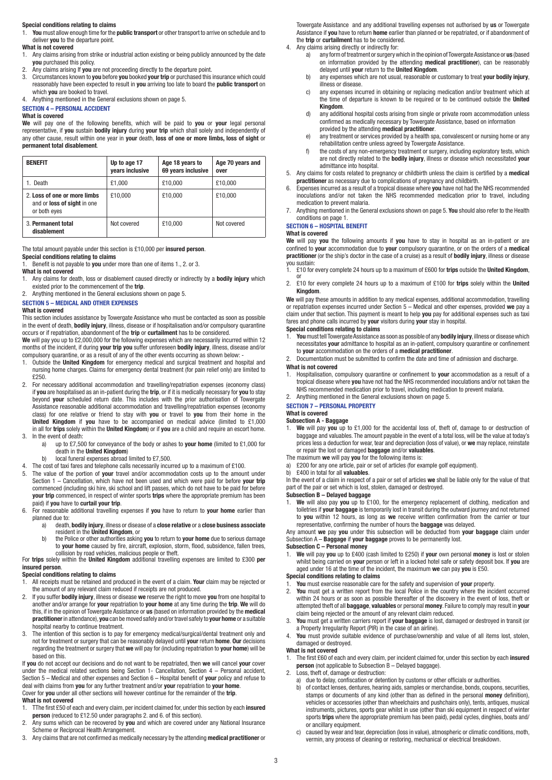#### **Special conditions relating to claims**

1. **You** must allow enough time for the **public transport** or other transport to arrive on schedule and to deliver **you** to the departure point.

# **What is not covered**<br>1. Any claims arising

- 1. Any claims arising from strike or industrial action existing or being publicly announced by the date **you** purchased this policy.
- 2. Any claims arising If **you** are not proceeding directly to the departure point.<br>3. Circumstances known to **you** before you booked your trip or purchased this
- 3. Circumstances known to **you** before **you** booked **your trip** or purchased this insurance which could reasonably have been expected to result in **you** arriving too late to board the **public transport** on which **you** are booked to travel.
- 4. Anything mentioned in the General exclusions shown on page 5.

#### **SECTION 4 – PERSONAL ACCIDENT**

#### **What is covered**

**We** will pay one of the following benefits, which will be paid to **you** or **your** legal personal representative, if **you** sustain **bodily injury** during **your trip** which shall solely and independently of any other cause, result within one year in **your** death, **loss of one or more limbs, loss of sight** or **permanent total disablement**.

| <b>BENEFIT</b>                                                                     | Up to age 17<br>years inclusive | Age 18 years to<br>69 years inclusive | Age 70 years and<br>over |
|------------------------------------------------------------------------------------|---------------------------------|---------------------------------------|--------------------------|
| 1. Death                                                                           | £1.000                          | £10.000                               | £10.000                  |
| 2. Loss of one or more limbs<br>and or <b>loss of sight</b> in one<br>or both eyes | £10.000                         | £10.000                               | £10,000                  |
| 3. Permanent total<br>disablement                                                  | Not covered                     | £10,000                               | Not covered              |

### The total amount payable under this section is £10,000 per **insured person**.

**Special conditions relating to claims**

Benefit is not payable to you under more than one of items 1., 2. or 3.

- **What is not covered**
- 1. Any claims for death, loss or disablement caused directly or indirectly by a **bodily injury** which existed prior to the commencement of the **trip**.
- 2. Anything mentioned in the General exclusions shown on page 5.

### **SECTION 5 – MEDICAL AND OTHER EXPENSES**

#### **What is covered**

This section includes assistance by Towergate Assistance who must be contacted as soon as possible in the event of death, **bodily injury**, illness, disease or if hospitalisation and/or compulsory quarantine occurs or if repatriation, abandonment of the **trip** or **curtailment** has to be considered.

**We** will pay you up to £2,000,000 for the following expenses which are necessarily incurred within 12 months of the incident, if during **your trip you** suffer unforeseen **bodily injury**, illness, disease and/or compulsory quarantine, or as a result of any of the other events occurring as shown below: -

- 1. Outside the **United Kingdom** for emergency medical and surgical treatment and hospital and nursing home charges. Claims for emergency dental treatment (for pain relief only) are limited to the limited to £250.
- 2. For necessary additional accommodation and travelling/repatriation expenses (economy class) if **you** are hospitalised as an in-patient during the **trip**, or if it is medically necessary for **you** to stay beyond **your** scheduled return date. This includes with the prior authorisation of Towergate Assistance reasonable additional accommodation and travelling/repatriation expenses (economy class) for one relative or friend to stay with **you** or travel to **you** from their home in the **United Kingdom** if **you** have to be accompanied on medical advice (limited to £1,000 in all for **trips** solely within the **United Kingdom**) or if **you** are a child and require an escort home. 3. In the event of death:
	- a) up to £7,500 for conveyance of the body or ashes to **your home** (limited to £1,000 for death in the **United Kingdom**)
	- b) local funeral expenses abroad limited to £7,500.
- 4. The cost of taxi fares and telephone calls necessarily incurred up to a maximum of £100.
- 5. The value of the portion of **your** travel and/or accommodation costs up to the amount under Section 1 – Cancellation, which have not been used and which were paid for before **your trip** commenced (including ski hire, ski school and lift passes, which do not have to be paid for before **your trip** commenced, in respect of winter sports **trips** where the appropriate premium has been paid) if **you** have to **curtail your trip**.
- 6. For reasonable additional travelling expenses if **you** have to return to **your home** earlier than planned due to:<br>a) death.
- a) death, **bodily injury**, illness or disease of a **close relative** or a **close business associate** resident in the **United Kingdom**, or b) the Police or other authorities asking **you** to return to **your home** due to serious damage
	- to **your home** caused by fire, aircraft, explosion, storm, flood, subsidence, fallen trees,

 collision by road vehicles, malicious people or theft. For **trips** solely within the **United Kingdom** additional travelling expenses are limited to £300 **per insured person**.

### **Special conditions relating to claims**

- 1. All receipts must be retained and produced in the event of a claim. **Your** claim may be rejected or the amount of any relevant claim reduced if receipts are not produced.
- 2. If you suffer **bodily injury**, illness or disease **we** reserve the right to move **you** from one hospital to another and/or arrange for **your** repatriation to **your home** at any time during the **trip**. **We** will do this, if in the opinion of Towergate Assistance or **us** (based on information provided by the **medical practitioner** in attendance), **you** can be moved safely and/or travel safely to **your home** or a suitable hospital nearby to continue treatment.
- 3. The intention of this section is to pay for emergency medical/surgical/dental treatment only and not for treatment or surgery that can be reasonably delayed until **your** return **home**. **Our** decisions regarding the treatment or surgery that **we** will pay for (including repatriation to **your home**) will be based on this.

If **you** do not accept our decisions and do not want to be repatriated, then **we** will cancel **your** cover under the medical related sections being Section 1- Cancellation, Section 4 – Personal accident, Section 5 – Medical and other expenses and Section 6 – Hospital benefit of **your** policy and refuse to deal with claims from **you** for any further treatment and/or **your** repatriation to **your home**. Cover for **you** under all other sections will however continue for the remainder of the **trip**. **What is not covered**

- 1. TThe first £50 of each and every claim, per incident claimed for, under this section by each **insured person** (reduced to £12.50 under paragraphs 2. and 6. of this section).
- 2. Any sums which can be recovered by **you** and which are covered under any National Insurance Scheme or Reciprocal Health Arrangement.
- 3. Any claims that are not confirmed as medically necessary by the attending **medical practitioner** or

Towergate Assistance and any additional travelling expenses not authorised by **us** or Towergate Assistance if **you** have to return **home** earlier than planned or be repatriated, or if abandonment of the **trip** or **curtailment** has to be considered.

- 4. Any claims arising directly or indirectly for:<br>a) any form of treatment or surgery w
	- a) any form of treatment or surgery which in the opinion of Towergate Assistance or **us** (based on information provided by the attending **medical practitioner**), can be reasonably delayed until **your** return to the **United Kingdom**.
	- b) any expenses which are not usual, reasonable or customary to treat **your bodily injury**, illness or disease.
- c) any expenses incurred in obtaining or replacing medication and/or treatment which at the time of departure is known to be required or to be continued outside the **United Kingdom**.
	- d) any additional hospital costs arising from single or private room accommodation unless confirmed as medically necessary by Towergate Assistance, based on information provided by the attending **medical practitioner**.
- e) any treatment or services provided by a health spa, convalescent or nursing home or any rehabilitation centre unless agreed by Towergate Assistance.
	- f) the costs of any non-emergency treatment or surgery, including exploratory tests, which are not directly related to the **bodily injury**, illness or disease which necessitated **your** admittance into hospital.
- 5. Any claims for costs related to pregnancy or childbirth unless the claim is certified by a **medical practitioner** as necessary due to complications of pregnancy and childbirth.
- 6. Expenses incurred as a result of a tropical disease where **you** have not had the NHS recommended inoculations and/or not taken the NHS recommended medication prior to travel, including medication to prevent malaria.
- 7. Anything mentioned in the General exclusions shown on page 5. **You** should also refer to the Health conditions on page 1.

#### **SECTION 6 – HOSPITAL BENEFIT**

#### **What is covered**

**We** will pay **you** the following amounts if **you** have to stay in hospital as an in-patient or are confined to **your** accommodation due to **your** compulsory quarantine, or on the orders of a **medical practitioner** (or the ship's doctor in the case of a cruise) as a result of **bodily injury**, illness or disease you sustain:

1. £10 for every complete 24 hours up to a maximum of £600 for **trips** outside the **United Kingdom**, or

2. £10 for every complete 24 hours up to a maximum of £100 for **trips** solely within the **United Kingdom**.

**We** will pay these amounts in addition to any medical expenses, additional accommodation, travelling or repatriation expenses incurred under Section 5 – Medical and other expenses, provided **we** pay a claim under that section. This payment is meant to help **you** pay for additional expenses such as taxi fares and phone calls incurred by **your** visitors during **your** stay in hospital.

### **Special conditions relating to claims**

- 1. **You** must tell Towergate Assistance as soon as possible of any **bodily injury**, illness or disease which necessitates **your** admittance to hospital as an in-patient, compulsory quarantine or confinement to **your** accommodation on the orders of a **medical practitioner**.
- 2. Documentation must be submitted to confirm the date and time of admission and discharge.

## **What is not covered**

- 1. Hospitalisation, compulsory quarantine or confinement to **your** accommodation as a result of a tropical disease where **you** have not had the NHS recommended inoculations and/or not taken the NHS recommended medication prior to travel, including medication to prevent malaria.
- 2. Anything mentioned in the General exclusions shown on page 5.
- **SECTION 7 PERSONAL PROPERTY**

## **What is covered**

### **Subsection A - Baggage**

- 1. **We** will pay **you** up to £1,000 for the accidental loss of, theft of, damage to or destruction of baggage and valuables. The amount payable in the event of a total loss, will be the value at today's prices less a deduction for wear, tear and depreciation (loss of value), or **we** may replace, reinstate or repair the lost or damaged **baggage** and/or **valuables**.
- The maximum **we** will pay **you** for the following items is:
- a) £200 for any one article, pair or set of articles (for example golf equipment).
- b) £400 in total for all **valuables**.

In the event of a claim in respect of a pair or set of articles **we** shall be liable only for the value of that part of the pair or set which is lost, stolen, damaged or destroyed.

## **Subsection B – Delayed baggage**

1. **We** will also pay **you** up to £100, for the emergency replacement of clothing, medication and toiletries if **your baggage** is temporarily lost in transit during the outward journey and not returned to **you** within 12 hours, as long as **we** receive written confirmation from the carrier or tour representative, confirming the number of hours the **baggage** was delayed.

Any amount **we** pay **you** under this subsection will be deducted from **your baggage** claim under Subsection A – **Baggage** if **your baggage** proves to be permanently lost.

# **Subsection C – Personal money**<br>1. We will pay you up to £400 (

1. **We** will pay **you** up to £400 (cash limited to £250) if **your** own personal **money** is lost or stolen whilst being carried on **your** person or left in a locked hotel safe or safety deposit box. If **you** are aged under 16 at the time of the incident, the maximum **we** can pay **you** is £50.

## **Special conditions relating to claims**

- 1. **You** must exercise reasonable care for the safety and supervision of **your** property.
- 2. **You** must get a written report from the local Police in the country where the incident occurred within 24 hours or as soon as possible thereafter of the discovery in the event of loss, theft or attempted theft of all **baggage**, **valuables** or personal **money**. Failure to comply may result in **your** claim being rejected or the amount of any relevant claim reduced.
- 3. **You** must get a written carriers report if **your baggage** is lost, damaged or destroyed in transit (or a Property Irregularity Report (PIR) in the case of an airline).
- 4. **You** must provide suitable evidence of purchase/ownership and value of all items lost, stolen, damaged or destroyed.

## **What is not covered**

- 1. The first £60 of each and every claim, per incident claimed for, under this section by each **insured person** (not applicable to Subsection B – Delayed baggage).
- 2. Loss, theft of, damage or destruction:
	- a) due to delay, confiscation or detention by customs or other officials or authorities.
- b) of contact lenses, dentures, hearing aids, samples or merchandise, bonds, coupons, securities, stamps or documents of any kind (other than as defined in the personal **money** definition), vehicles or accessories (other than wheelchairs and pushchairs only), tents, antiques, musical instruments, pictures, sports gear whilst in use (other than ski equipment in respect of winter sports **trips** where the appropriate premium has been paid), pedal cycles, dinghies, boats and/ or ancillary equipment.
	- c) caused by wear and tear, depreciation (loss in value), atmospheric or climatic conditions, moth vermin, any process of cleaning or restoring, mechanical or electrical breakdown.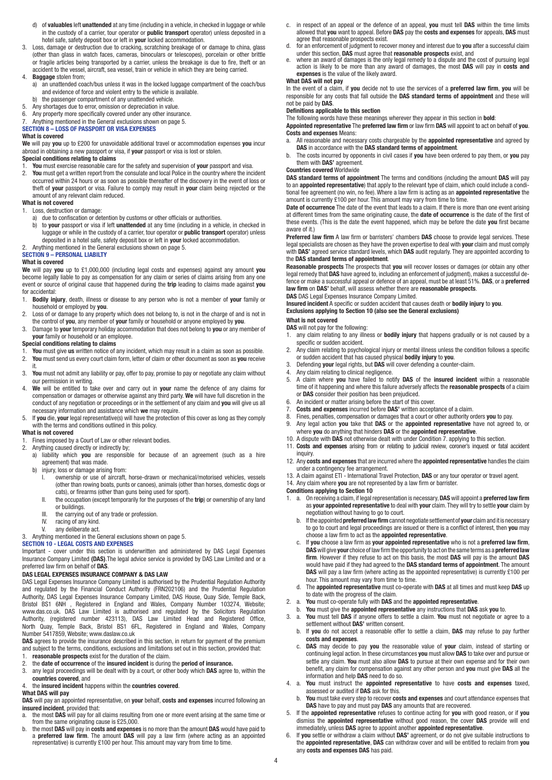- d) of **valuables** left **unattended** at any time (including in a vehicle, in checked in luggage or while in the custody of a carrier, tour operator or **public transport** operator) unless deposited in a hotel safe, safety deposit box or left in **your** locked accommodation.
- 3. Loss, damage or destruction due to cracking, scratching breakage of or damage to china, glass (other than glass in watch faces, cameras, binoculars or telescopes), porcelain or other brittle or fragile articles being transported by a carrier, unless the breakage is due to fire, theft or an
- accident to the vessel, aircraft, sea vessel, train or vehicle in which they are being carried. 4. **Baggage** stolen from;
- a) an unattended coach/bus unless it was in the locked luggage compartment of the coach/bus and evidence of force and violent entry to the vehicle is available.
- b) the passenger compartment of any unattended vehicle.
- 5. Any shortages due to error, omission or depreciation in value.
- 6. Any property more specifically covered under any other insurance.
- 7. Anything mentioned in the General exclusions shown on page 5.

#### **SECTION 8 – LOSS OF PASSPORT OR VISA EXPENSES What is covered**

**We** will pay **you** up to £200 for unavoidable additional travel or accommodation expenses **you** incur abroad in obtaining a new passport or visa, if **your** passport or visa is lost or stolen.

## **Special conditions relating to claims**

- 1. **You** must exercise reasonable care for the safety and supervision of **your** passport and visa.
- 2. **You** must get a written report from the consulate and local Police in the country where the incident occurred within 24 hours or as soon as possible thereafter of the discovery in the event of loss or theft of **your** passport or visa. Failure to comply may result in **your** claim being rejected or the amount of any relevant claim reduced.

## **What is not covered**

- 1. Loss, destruction or damage:
- a) due to confiscation or detention by customs or other officials or authorities.
- b) to **your** passport or visa if left **unattended** at any time (including in a vehicle, in checked in luggage or while in the custody of a carrier, tour operator or **public transport** operator) unless deposited in a hotel safe, safety deposit box or left in **your** locked accommodation. 2. Anything mentioned in the General exclusions shown on page 5.

## **SECTION 9 – PERSONAL LIABILTY**

#### **What is covered**

**We** will pay **you** up to £1,000,000 (including legal costs and expenses) against any amount **you** become legally liable to pay as compensation for any claim or series of claims arising from any one event or source of original cause that happened during the **trip** leading to claims made against **you**  for accidental:

- 1. **Bodily injury**, death, illness or disease to any person who is not a member of **your** family or household or employed by **you**.
- 2. Loss of or damage to any property which does not belong to, is not in the charge of and is not in the control of **you**, any member of **your** family or household or anyone employed by **you**.
- 3. Damage to **your** temporary holiday accommodation that does not belong to **you** or any member of **your** family or household or an employee.

### **Special conditions relating to claims**

- 1. **You** must give **us** written notice of any incident, which may result in a claim as soon as possible.<br>2. **You** must send us every court claim form. letter of claim or other document as soon as **you** receive
- 2. **You** must send us every court claim form, letter of claim or other document as soon as **you** receive it.
- 3. **You** must not admit any liability or pay, offer to pay, promise to pay or negotiate any claim without our permission in writing.
- 4. **We** will be entitled to take over and carry out in **your** name the defence of any claims for compensation or damages or otherwise against any third party. **We** will have full discretion in the conduct of any negotiation or proceedings or in the settlement of any claim and **you** will give us all necessary information and assistance which **we** may require.
- 5. If **you** die, **your** legal representative(s) will have the protection of this cover as long as they comply with the terms and conditions outlined in this policy

## **What is not covered**

- 1. Fines imposed by a Court of Law or other relevant bodies.<br>2. Anything caused directly or indirectly by:
- Anything caused directly or indirectly by;
	- a) liability which **you** are responsible for because of an agreement (such as a hire agreement) that was made.<br>b) injury, loss or damage arisin
	- injury, loss or damage arising from:
- ownership or use of aircraft, horse-drawn or mechanical/motorised vehicles, vessels (other than rowing boats, punts or canoes), animals (other than horses, domestic dogs or cats), or firearms (other than guns being used for sport).
	- II. the occupation (except temporarily for the purposes of the **trip**) or ownership of any land or buildings.<br>Ill the carrying
	- III. the carrying out of any trade or profession.<br>IV. racing of any kind.
	- racing of any kind.
	-

#### V. any deliberate act.<br>3 Anything mentioned in the G. 3. Anything mentioned in the General exclusions shown on page 5.

### **SECTION 10 - LEGAL COSTS AND EXPENSES**

Important - cover under this section is underwritten and administered by DAS Legal Expenses Insurance Company Limited **(DAS)**.The legal advice service is provided by DAS Law Limited and or a preferred law firm on behalf of **DAS**.

#### **DAS LEGAL EXPENSES INSURANCE COMPANY & DAS LAW**

DAS Legal Expenses Insurance Company Limited is authorised by the Prudential Regulation Authority and regulated by the Financial Conduct Authority (FRN202106) and the Prudential Regulation Authority, DAS Legal Expenses Insurance Company Limited, DAS House, Quay Side, Temple Back, Bristol BS1 6NH , Registered in England and Wales, Company Number 103274, Website; www.das.co.uk. DAS Law Limited is authorised and regulated by the Solicitors Regulation Authority, (registered number 423113), DAS Law Limited Head and Registered Office, North Quay, Temple Back, Bristol BS1 6FL, Registered in England and Wales, Company Number 5417859, Website; www.daslaw.co.uk

**DAS** agrees to provide the insurance described in this section, in return for payment of the premium and subject to the terms, conditions, exclusions and limitations set out in this section, provided that: 1. **reasonable prospects** exist for the duration of the claim.

- 
- 2. the **date of occurrence** of the **insured incident** is during the **period of insurance.**<br>3. any legal proceedings will be dealt with by a court, or other body which **DAS** agree. 3. any legal proceedings will be dealt with by a court, or other body which **DAS** agree to, within the **countries covered**, and

#### 4. the **insured incident** happens within the **countries covered**.

#### **What DAS will pay**

**DAS** will pay an appointed representative, on **your** behalf, **costs and expenses** incurred following an **insured incident**, provided that:<br>a. the most **DAS** will pay for all

- a. the most **DAS** will pay for all claims resulting from one or more event arising at the same time or
- from the same originating cause is £25,000.<br>b. the most **DAS** will pay in **costs and expenses** is no more than the amount **DAS** would have paid to<br>a **preferred law firm**. The amount **DAS** will pay a law firm (where actin representative) is currently £100 per hour. This amount may vary from time to time.
- c. in respect of an appeal or the defence of an appeal, **you** must tell **DAS** within the time limits allowed that **you** want to appeal. Before **DAS** pay the **costs and expenses** for appeals, **DAS** must agree that reasonable prospects exist.
- d. for an enforcement of judgment to recover money and interest due to **you** after a successful claim
- under this section, DAS must agree that reasonable prospects exist, and<br>e. where an award of damages is the only legal remedy to a dispute and the cost of pursuing legal<br>action is likely to be more than any award of damage **expenses** is the value of the likely award.

#### **What DAS will not pay**

In the event of a claim, if **you** decide not to use the services of a **preferred law firm**, **you** will be responsible for any costs that fall outside the **DAS standard terms of appointment** and these will not be paid by **DAS**.

#### **Definitions applicable to this section**

The following words have these meanings wherever they appear in this section in **bold**:

**Appointed representative** The **preferred law firm** or law firm **DAS** will appoint to act on behalf of **you**. **Costs and expenses** Means:

- a. All reasonable and necessary costs chargeable by the **appointed representative** and agreed by **DAS** in accordance with the **DAS standard terms of appointment**.
- b. The costs incurred by opponents in civil cases if **you** have been ordered to pay them, or **you** pay them with **DAS'** agreement.

#### **Countries covered** Worldwide

**DAS standard terms of appointment** The terms and conditions (including the amount **DAS** will pay to an **appointed representative**) that apply to the relevant type of claim, which could include a conditional fee agreement (no win, no fee). Where a law firm is acting as an **appointed representative** the amount is currently £100 per hour. This amount may vary from time to time.

**Date of occurrence** The date of the event that leads to a claim. If there is more than one event arising at different times from the same originating cause, the **date of occurrence** is the date of the first of these events. (This is the date the event happened, which may be before the date **you** first became aware of it.)

**Preferred law firm** A law firm or barristers' chambers **DAS** choose to provide legal services. These legal specialists are chosen as they have the proven expertise to deal with **your** claim and must comply with **DAS'** agreed service standard levels, which **DAS** audit regularly. They are appointed according to the **DAS standard terms of appointment**.

**Reasonable prospects** The prospects that **you** will recover losses or damages (or obtain any other legal remedy that **DAS** have agreed to, including an enforcement of judgment), makes a successful defence or make a successful appeal or defence of an appeal, must be at least 51%. **DAS**, or a **preferred law firm** on **DAS'** behalf, will assess whether there are **reasonable prospects**.

**DAS** DAS Legal Expenses Insurance Company Limited. **Insured incident** A specific or sudden accident that causes death or **bodily injury** to **you**.

**Exclusions applying to Section 10 (also see the General exclusions)**

#### **What is not covered**

**DAS** will not pay for the following:

- 1. any claim relating to any illness or **bodily injury** that happens gradually or is not caused by a specific or sudden accident.
- 2. Any claim relating to psychological injury or mental illness unless the condition follows a specific or sudden accident that has caused physical **bodily injury** to **you**.
- 3. Defending **your** legal rights, but **DAS** will cover defending a counter-claim.
- 4. Any claim relating to clinical negligence.<br>5. A claim where **vou** have failed to not
- 5. A claim where **you** have failed to notify **DAS** of the **insured incident** within a reasonable time of it happening and where this failure adversely affects the **reasonable prospects** of a claim or **DAS** consider their position has been prejudiced.
- 6. An incident or matter arising before the start of this cover.
- 7. **Costs and expenses** incurred before **DAS'** written acceptance of a claim.
- 8. Fines, penalties, compensation or damages that a court or other authority orders **you** to pay.
- 9. Any legal action **you** take that **DAS** or the **appointed representative** have not agreed to, or where **you** do anything that hinders **DAS** or the **appointed representative**.
- 10. A dispute with **DAS** not otherwise dealt with under Condition 7. applying to this section.
- 11. **Costs and expenses** arising from or relating to judicial review, coroner's inquest or fatal accident
- inquiry 12. Any **costs and expenses** that are incurred where the **appointed representative** handles the claim under a contingency fee arrangement.
- 13. A claim against ETI International Travel Protection, **DAS** or any tour operator or travel agent.
- 14. Any claim where **you** are not represented by a law firm or barrister.

#### **Conditions applying to Section 10**

4

- 1. a. On receiving a claim, if legal representation is necessary, **DAS** will appoint a **preferred law firm** as **your appointed representative** to deal with **your** claim. They will try to settle **your** claim by negotiation without having to go to court.
	- b. If the appointed **preferred law firm** cannot negotiate settlement of **your** claim and it is necessary to go to court and legal proceedings are issued or there is a conflict of interest, then **you** may choose a law firm to act as the **appointed representative**.
	- c. If **you** choose a law firm as **your appointed representative** who is not a **preferred law firm**, **DAS** will give **your** choice of law firm the opportunity to act on the same terms as a **preferred law firm**. However if they refuse to act on this basis, the most **DAS** will pay is the amount **DAS** would have paid if they had agreed to the **DAS standard terms of appointment**. The amount **DAS** will pay a law firm (where acting as the appointed representative) is currently £100 per hour. This amount may vary from time to time.
- d. The **appointed representative** must co-operate with **DAS** at all times and must keep **DAS** up to date with the progress of the claim.<br>2. a. You must co-operate fully with DAS and
- You must co-operate fully with DAS and the appointed representative
- b. **You** must give the **appointed representative** any instructions that **DAS** ask **you** to.
- 3. a. **You** must tell **DAS** if anyone offers to settle a claim. **You** must not negotiate or agree to a settlement without **DAS'** written consent.
- b. If **you** do not accept a reasonable offer to settle a claim, **DAS** may refuse to pay further **costs and expenses**.
- c. **DAS** may decide to pay **you** the reasonable value of **your** claim, instead of starting or continuing legal action. In these circumstances **you** must allow **DAS** to take over and pursue or settle any claim. **You** must also allow **DAS** to pursue at their own expense and for their own benefit, any claim for compensation against any other person and **you** must give **DAS** all the information and help **DAS** need to do so.
- 4. a. **You** must instruct the **appointed representative** to have **costs and expenses** taxed, assessed or audited if **DAS** ask for this.
- b. **You** must take every step to recover **costs and expenses** and court attendance expenses that **DAS** have to pay and must pay **DAS** any amounts that are recovered.
- 5. If the **appointed representative** refuses to continue acting for **you** with good reason, or if **you** dismiss the **appointed representative** without good reason, the cover **DAS** provide will end immediately, unless **DAS** agree to appoint another **appointed representative**.
- 6. If **you** settle or withdraw a claim without **DAS'** agreement, or do not give suitable instructions to the **appointed representative**, **DAS** can withdraw cover and will be entitled to reclaim from **you** any **costs and expenses DAS** has paid.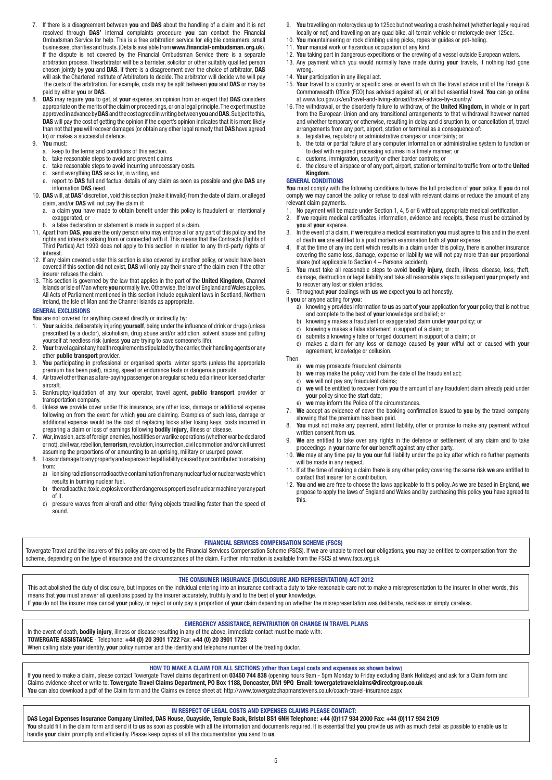- 7. If there is a disagreement between **you** and **DAS** about the handling of a claim and it is not resolved through **DAS'** internal complaints procedure **you** can contact the Financial Ombudsman Service for help. This is a free arbitration service for eligible consumers, small businesses, charities and trusts. (Details available from **www.financial-ombudsman. org.uk**). If the dispute is not covered by the Financial Ombudsman Service there is a separate arbitration process. Thearbitrator will be a barrister, solicitor or other suitably qualifed person chosen jointly by **you** and **DAS**. If there is a disagreement over the choice of arbitrator, **DAS** will ask the Chartered Institute of Arbitrators to decide. The arbitrator will decide who will pay the costs of the arbitration. For example, costs may be split between **you** and **DAS** or may be paid by either **you** or **DAS**.
- 8. **DAS** may require **you** to get, at **your** expense, an opinion from an expert that **DAS** considers appropriate on the merits of the claim or proceedings, or on a legal principle. The expert must be approved in advance by **DAS** and the cost agreed in writing between **you** and **DAS**. Subject to this, **DAS** will pay the cost of getting the opinion if the expert's opinion indicates that it is more likely than not that **you** will recover damages (or obtain any other legal remedy that **DAS** have agreed to) or makes a successful defence.
- 9. **You** must:
	- a. keep to the terms and conditions of this section.
	- b. take reasonable steps to avoid and prevent claims.
	- take reasonable steps to avoid incurring unnecessary costs.
	- d. send everything **DAS** asks for, in writing, and
	- e. report to **DAS** full and factual details of any claim as soon as possible and give **DAS** any information **DAS** need.
- 10. **DAS** will, at **DAS'** discretion, void this section (make it invalid) from the date of claim, or alleged claim, and/or **DAS** will not pay the claim if:
	- a. a claim **you** have made to obtain benefit under this policy is fraudulent or intentionally exaggerated, or
- a false declaration or statement is made in support of a claim.
- 11. Apart from **DAS**, **you** are the only person who may enforce all or any part of this policy and the rights and interests arising from or connected with it. This means that the Contracts (Rights of Third Parties) Act 1999 does not apply to this section in relation to any third-party rights or interest.
- 12. If any claim covered under this section is also covered by another policy, or would have been covered if this section did not exist, **DAS** will only pay their share of the claim even if the other insurer refuses the claim.
- 13. This section is governed by the law that applies in the part of the **United Kingdom**, Channel Islands or Isle of Man where **you** normally live. Otherwise, the law of England and Wales applies. All Acts of Parliament mentioned in this section include equivalent laws in Scotland, Northern Ireland, the Isle of Man and the Channel Islands as appropriate.

#### **GENERAL EXCLUSIONS**

- **You** are not covered for anything caused directly or indirectly by:
- 1. **Your** suicide, deliberately injuring **yourself**, being under the influence of drink or drugs (unless prescribed by a doctor), alcoholism, drug abuse and/or addiction, solvent abuse and putting yourself at needless risk (unless **you** are trying to save someone's life).
- 2. **Your** travel against any health requirements stipulated by the carrier, their handling agents or any other **public transport** provider.
- 3. **You** participating in professional or organised sports, winter sports (unless the appropriate premium has been paid), racing, speed or endurance tests or dangerous pursuits.
- 4. Air travel other than as a fare-paying passenger on a regular scheduled airline or licensed charter aircraft.
- 5. Bankruptcy/liquidation of any tour operator, travel agent, **public transport** provider or transportation company.
- 6. Unless **we** provide cover under this insurance, any other loss, damage or additional expense following on from the event for which **you** are claiming. Examples of such loss, damage or additional expense would be the cost of replacing locks after losing keys, costs incurred in preparing a claim or loss of earnings following **bodily injury**, illness or disease.
- 7. War, invasion, acts of foreign enemies, hostilities or warlike operations (whether war be declared or not), civil war, rebellion, **terrorism**, revolution, insurrection, civil commotion and/or civil unrest assuming the proportions of or amounting to an uprising, military or usurped power.
- 8. Loss or damage to any property and expense or legal liability caused by or contributed to or arising from:
	- a) ionising radiations or radioactive contamination from any nuclear fuel or nuclear waste which results in burning nuclear fuel.<br>b) the radioactive toxic explosive
	- b) the radioactive, toxic, explosive or other dangerous properties of nuclear machinery or any part
	- of it.<br>c) pres pressure waves from aircraft and other flying objects travelling faster than the speed of sound.
- 9. **You** travelling on motorcycles up to 125cc but not wearing a crash helmet (whether legally required locally or not) and travelling on any quad bike, all-terrain vehicle or motorcycle over 125cc.
- 10. **You** mountaineering or rock climbing using picks, ropes or guides or pot-holing.
- 11. **Your** manual work or hazardous occupation of any kind.
- 12. **You** taking part in dangerous expeditions or the crewing of a vessel outside European waters.
- 13. Any payment which you would normally have made during **your** travels, if nothing had gone wrong.
- 14. **Your** participation in any illegal act.
- 15. **Your** travel to a country or specific area or event to which the travel advice unit of the Foreign & Commonwealth Office (FCO) has advised against all, or all but essential travel. **You** can go online at www.fco.gov.uk/en/travel-and-living-abroad/travel-advice-by-country/
- 16. The withdrawal, or the disorderly failure to withdraw, of the **United Kingdom**, in whole or in part from the European Union and any transitional arrangements to that withdrawal however named and whether temporary or otherwise, resulting in delay and disruption to, or cancellation of, travel arrangements from any port, airport, station or terminal as a consequence of:
	- a. legislative, regulatory or administrative changes or uncertainty; or
	- b. the total or partial failure of any computer, information or administrative system to function or to deal with required processing volumes in a timely manner; or
	- c. customs, immigration, security or other border controls; or<br>d the closure of airspace or of any port airport station or term d. the closure of airspace or of any port, airport, station or terminal to traffic from or to the **United Kingdom**.

#### **GENERAL CONDITIONS**

**You** must comply with the following conditions to have the full protection of **your** policy. If **you** do not comply **we** may cancel the policy or refuse to deal with relevant claims or reduce the amount of any relevant claim payments.

- 1. No payment will be made under Section 1, 4, 5 or 6 without appropriate medical certification<br>2. If we require medical certificates, information, evidence and receipts, these must be obtaine
- If we require medical certificates, information, evidence and receipts, these must be obtained by **you** at **your** expense.
- 3. In the event of a claim, if **we** require a medical examination **you** must agree to this and in the event of death **we** are entitled to a post mortem examination both at **your** expense.
- 4. If at the time of any incident which results in a claim under this policy, there is another insurance covering the same loss, damage, expense or liability **we** will not pay more than **our** proportional share (not applicable to Section  $4$  – Personal accident).
- 5. **You** must take all reasonable steps to avoid **bodily injury,** death, illness, disease, loss, theft, damage, destruction or legal liability and take all reasonable steps to safeguard **your** property and to recover any lost or stolen articles.
- 6. Throughout **your** dealings with **us we** expect **you** to act honestly.
- If **you** or anyone acting for **you**:<br>a) knowingly provides infor a) knowingly provides information to **us** as part of **your** application for **your** policy that is not true
	- and complete to the best of **your** knowledge and belief; or<br>b) knowingly makes a fraudulent or exaggerated claim under
	- b) knowingly makes a fraudulent or exaggerated claim under **your** policy; or
	- c) knowingly makes a false statement in support of a claim; or
	- d) submits a knowingly false or forged document in support of a claim; or
	- e) makes a claim for any loss or damage caused by **your** wilful act or caused with **your** agreement, knowledge or collusion.

## Then

- a) we may prosecute fraudulent claimants;<br>b) we may make the policy yoid from the d
- we may make the policy void from the date of the fraudulent act;
- c) **we** will not pay any fraudulent claims;
- d) **we** will be entitled to recover from **you** the amount of any fraudulent claim already paid under **your** policy since the start date;
- we may inform the Police of the circumstances. 7. **We** accept as evidence of cover the booking confirmation issued to **you** by the travel company showing that the premium has been paid.
- 8. **You** must not make any payment, admit liability, offer or promise to make any payment without written consent from **us**.
- 9. **We** are entitled to take over any rights in the defence or settlement of any claim and to take proceedings in **your** name for **our** benefit against any other party.
- 10. **We** may at any time pay to **you our** full liability under the policy after which no further payments will be made in any respect.
- 11. If at the time of making a claim there is any other policy covering the same risk **we** are entitled to contact that insurer for a contribution.
- 12. **You** and **we** are free to choose the laws applicable to this policy. As **we** are based in England, **we** propose to apply the laws of England and Wales and by purchasing this policy **you** have agreed to this.

## **FINANCIAL SERVICES COMPENSATION SCHEME (FSCS)**

Towergate Travel and the insurers of this policy are covered by the Financial Services Compensation Scheme (FSCS). If **we** are unable to meet **our** obligations, **you** may be entitled to compensation from the scheme, depending on the type of insurance and the circumstances of the claim. Further information is available from the FSCS at www.fscs.org.uk

#### **THE CONSUMER INSURANCE (DISCLOSURE AND REPRESENTATION) ACT 2012**

This act abolished the duty of disclosure, but imposes on the individual entering into an insurance contract a duty to take reasonable care not to make a misrepresentation to the insurer. In other words, this means that **you** must answer all questions posed by the insurer accurately, truthfully and to the best of **your** knowledge. If **you** do not the insurer may cancel **your** policy, or reject or only pay a proportion of **your** claim depending on whether the misrepresentation was deliberate, reckless or simply careless.

 **EMERGENCY ASSISTANCE, REPATRIATION OR CHANGE IN TRAVEL PLANS** In the event of death, **bodily injury**, illness or disease resulting in any of the above, immediate contact must be made with: **TOWERGATE ASSISTANCE** - Telephone: **+44 (0) 20 3901 1722** Fax: **+44 (0) 20 3901 1723** When calling state **your** identity, **your** policy number and the identity and telephone number of the treating doctor.

## **HOW TO MAKE A CLAIM FOR ALL SECTIONS** (**other than Legal costs and expenses as shown below**)

If **you** need to make a claim, please contact Towergate Travel claims department on **03450 744 838** (opening hours 9am - 5pm Monday to Friday excluding Bank Holidays) and ask for a Claim form and Claims evidence sheet or write to: **Towergate Travel Claims Department, PO Box 1188, Doncaster, DN1 9PQ Email: towergatetravelclaims@directgroup.co.uk You** can also download a pdf of the Claim form and the Claims evidence sheet at: http://www.towergatechapmanstevens.co.uk/coach-travel-insurance.aspx

#### **IN RESPECT OF LEGAL COSTS AND EXPENSES CLAIMS PLEASE CONTACT:**

## **DAS Legal Expenses Insurance Company Limited, DAS House, Quayside, Temple Back, Bristol BS1 6NH Telephone: +44 (0)117 934 2000 Fax: +44 (0)117 934 2109**

You should fill in the claim form and send it to us as soon as possible with all the information and documents required. It is essential that you provide us with as much detail as possible to enable us to handle **your** claim promptly and efficiently. Please keep copies of all the documentation **you** send to **us**.